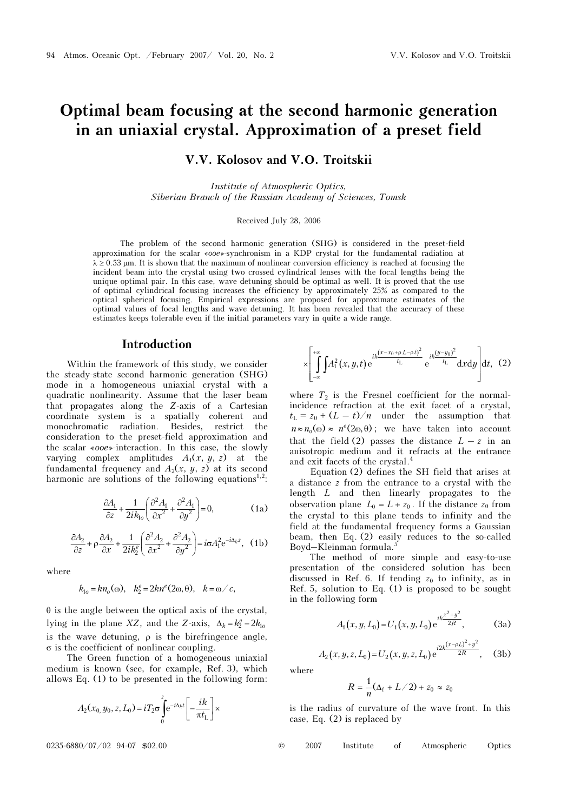# Optimal beam focusing at the second harmonic generation in an uniaxial crystal. Approximation of a preset field

V.V. Kolosov and V.O. Troitskii

Institute of Atmospheric Optics, Siberian Branch of the Russian Academy of Sciences, Tomsk

Received July 28, 2006

The problem of the second harmonic generation (SHG) is considered in the preset-field approximation for the scalar «ooe»-synchronism in a KDP crystal for the fundamental radiation at  $\lambda \ge 0.53$  μm. It is shown that the maximum of nonlinear conversion efficiency is reached at focusing the incident beam into the crystal using two crossed cylindrical lenses with the focal lengths being the unique optimal pair. In this case, wave detuning should be optimal as well. It is proved that the use of optimal cylindrical focusing increases the efficiency by approximately 25% as compared to the optical spherical focusing. Empirical expressions are proposed for approximate estimates of the optimal values of focal lengths and wave detuning. It has been revealed that the accuracy of these estimates keeps tolerable even if the initial parameters vary in quite a wide range.

#### Introduction

Within the framework of this study, we consider the steady-state second harmonic generation (SHG) mode in a homogeneous uniaxial crystal with a quadratic nonlinearity. Assume that the laser beam that propagates along the Z-axis of a Cartesian coordinate system is a spatially coherent and monochromatic radiation. Besides, restrict the consideration to the preset-field approximation and the scalar «ooe»-interaction. In this case, the slowly varying complex amplitudes  $A_1(x, y, z)$  at the fundamental frequency and  $A_2(x, y, z)$  at its second harmonic are solutions of the following equations<sup>1,2</sup>:

$$
\frac{\partial A_1}{\partial z} + \frac{1}{2ik_{1o}} \left( \frac{\partial^2 A_1}{\partial x^2} + \frac{\partial^2 A_1}{\partial y^2} \right) = 0,\tag{1a}
$$

$$
\frac{\partial A_2}{\partial z} + \rho \frac{\partial A_2}{\partial x} + \frac{1}{2ik_2^e} \left( \frac{\partial^2 A_2}{\partial x^2} + \frac{\partial^2 A_2}{\partial y^2} \right) = i\sigma A_1^2 e^{-i\Delta_k z}, \quad (1b)
$$

where

$$
k_{1o} = kn_o(\omega), \quad k_2^e = 2kn^e(2\omega, \theta), \quad k = \omega/c,
$$

 $\theta$  is the angle between the optical axis of the crystal, lying in the plane XZ, and the Z-axis,  $\Delta_k = k_2^e - 2k_0$ is the wave detuning,  $\rho$  is the birefringence angle, σ is the coefficient of nonlinear coupling.

The Green function of a homogeneous uniaxial medium is known (see, for example, Ref. 3), which allows Eq. (1) to be presented in the following form:

$$
A_2(x_0, y_0, z, L_0) = iT_2 \sigma \int_0^z e^{-i\Delta_k t} \left[ -\frac{ik}{\pi t_L} \right] \times
$$

 $(x, y, t)$  $(x-x_0+pL-pt)^2$  ;  $(y-y_0)^2$  $\int_{0}^{+\infty} \int_{0}^{x} A_1^2(x, y, t) e^{ik \frac{(x - x_0 + \rho L - \rho t)^2}{t_{\text{L}}}} e^{ik \frac{(y - y_0)^2}{t_{\text{L}}}} dx dy dt,$  $\times \left[\int_{-\infty}^{+\infty} \int A_1^2(x, y, t) e^{ik \frac{(x - x_0 + \rho L - \rho t)^2}{t_L}} e^{ik \frac{(y - y_0)^2}{t_L}} dx dy\right]$ ∫ ∫ (2)

where  $T_2$  is the Fresnel coefficient for the normalincidence refraction at the exit facet of a crystal,  $t_{\text{L}} = z_0 + (L - t)/n$  under the assumption that  $n \approx n_o(\omega) \approx n^e(2\omega, \theta)$ ; we have taken into account that the field (2) passes the distance  $L - z$  in an anisotropic medium and it refracts at the entrance and exit facets of the crystal.<sup>4</sup>

Equation (2) defines the SH field that arises at a distance z from the entrance to a crystal with the length L and then linearly propagates to the observation plane  $L_0 = L + z_0$ . If the distance  $z_0$  from the crystal to this plane tends to infinity and the field at the fundamental frequency forms a Gaussian beam, then Eq. (2) easily reduces to the so-called Boyd–Kleinman formula.<sup>5</sup>

The method of more simple and easy-to-use presentation of the considered solution has been discussed in Ref. 6. If tending  $z_0$  to infinity, as in Ref. 5, solution to Eq. (1) is proposed to be sought in the following form

$$
A_1(x, y, L_0) = U_1(x, y, L_0) e^{ik \frac{x^2 + y^2}{2R}}, \tag{3a}
$$

$$
A_2(x, y, z, L_0) = U_2(x, y, z, L_0) e^{\frac{i2k(x - \rho L)^2 + y^2}{2R}}, \quad (3b)
$$

where

$$
R=\frac{1}{n}(\Delta_{\rm f}+L/2)+z_0\approx z_0
$$

is the radius of curvature of the wave front. In this case, Eq. (2) is replaced by

$$
@ \qquad 2007 \qquad \text{Institute} \qquad \text{of} \qquad \text{Atmospheric} \qquad \text{Optics}
$$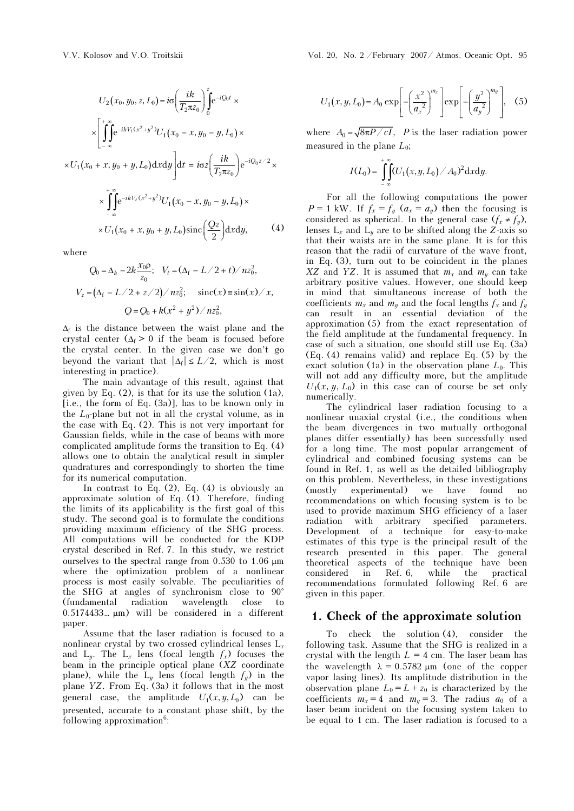$$
U_{2}(x_{0}, y_{0}, z, L_{0}) = i\sigma \left(\frac{ik}{T_{2}\pi z_{0}}\right)_{0}^{z} e^{-iQ_{0}t} \times
$$

$$
\times \left[\int_{-\infty}^{+\infty} e^{-ikV_{t}(x^{2}+y^{2})} U_{1}(x_{0}-x, y_{0}-y, L_{0}) \times
$$

$$
\times U_{1}(x_{0}+x, y_{0}+y, L_{0}) dx dy \right] dt = i\sigma z \left(\frac{ik}{T_{2}\pi z_{0}}\right) e^{-iQ_{0}z/2} \times
$$

$$
\times \int_{-\infty}^{+\infty} e^{-ikV_{2}(x^{2}+y^{2})} U_{1}(x_{0}-x, y_{0}-y, L_{0}) \times
$$

$$
\times U_{1}(x_{0}+x, y_{0}+y, L_{0}) \operatorname{sinc}\left(\frac{Qz}{2}\right) dx dy, \qquad (4)
$$

where

$$
Q_0 = \Delta_k - 2k \frac{x_0 \rho}{z_0}; \quad V_t = (\Delta_f - L/2 + t)/nz_0^2,
$$
  

$$
V_z = (\Delta_f - L/2 + z/2)/nz_0^2; \quad \text{sinc}(x) = \sin(x)/x,
$$
  

$$
Q = Q_0 + k(x^2 + y^2)/nz_0^2,
$$

 $\Delta_f$  is the distance between the waist plane and the crystal center  $(\Delta_f > 0$  if the beam is focused before the crystal center. In the given case we don't go beyond the variant that  $|\Delta_f| \leq L/2$ , which is most interesting in practice).

The main advantage of this result, against that given by Eq. (2), is that for its use the solution (1à), [i.e., the form of Eq. (3a)], has to be known only in the  $L_0$ -plane but not in all the crystal volume, as in the case with Eq. (2). This is not very important for Gaussian fields, while in the case of beams with more complicated amplitude forms the transition to Eq. (4) allows one to obtain the analytical result in simpler quadratures and correspondingly to shorten the time for its numerical computation.

In contrast to Eq.  $(2)$ , Eq.  $(4)$  is obviously an approximate solution of Eq.  $(1)$ . Therefore, finding the limits of its applicability is the first goal of this study. The second goal is to formulate the conditions providing maximum efficiency of the SHG process. All computations will be conducted for the KDP crystal described in Ref. 7. In this study, we restrict ourselves to the spectral range from 0.530 to 1.06 μm where the optimization problem of a nonlinear process is most easily solvable. The peculiarities of the SHG at angles of synchronism close to 90° (fundamental radiation wavelength close to 0.5174433… μm) will be considered in a different paper.

Assume that the laser radiation is focused to a nonlinear crystal by two crossed cylindrical lenses  $L_x$ and  $L_y$ . The  $L_x$  lens (focal length  $f_x$ ) focuses the beam in the principle optical plane (XZ coordinate plane), while the  $L_y$  lens (focal length  $f_y$ ) in the plane YZ. From Eq. (3a) it follows that in the most general case, the amplitude  $U_1(x, y, L_0)$  can be presented, accurate to a constant phase shift, by the following approximation<sup>6</sup>:

$$
U_1(x, y, L_0) = A_0 \exp\left[-\left(\frac{x^2}{a_x^2}\right)^{m_x}\right] \exp\left[-\left(\frac{y^2}{a_y^2}\right)^{m_y}\right], \quad (5)
$$

where  $A_0 = \sqrt{8\pi P/cI}$ , P is the laser radiation power measured in the plane  $L_0$ ;

$$
I(L_0) = \int_{-\infty}^{+\infty} (U_1(x,y,L_0)/A_0)^2 dx dy.
$$

For all the following computations the power  $P = 1$  kW. If  $f_x = f_y$   $(a_x = a_y)$  then the focusing is considered as spherical. In the general case  $(f_x \neq f_y)$ , lenses  $L_x$  and  $L_y$  are to be shifted along the Z-axis so that their waists are in the same plane. It is for this reason that the radii of curvature of the wave front, in Eq. (3), turn out to be coincident in the planes XZ and YZ. It is assumed that  $m_x$  and  $m_y$  can take arbitrary positive values. However, one should keep in mind that simultaneous increase of both the coefficients  $m_x$  and  $m_y$  and the focal lengths  $f_x$  and  $f_y$ can result in an essential deviation of the approximation (5) from the exact representation of the field amplitude at the fundamental frequency. In case of such a situation, one should still use Eq. (3a) (Eq. (4) remains valid) and replace Eq. (5) by the exact solution (1a) in the observation plane  $L_0$ . This will not add any difficulty more, but the amplitude  $U_1(x, y, L_0)$  in this case can of course be set only numerically.

The cylindrical laser radiation focusing to a nonlinear unaxial crystal (i.e., the conditions when the beam divergences in two mutually orthogonal planes differ essentially) has been successfully used for a long time. The most popular arrangement of cylindrical and combined focusing systems can be found in Ref. 1, as well as the detailed bibliography on this problem. Nevertheless, in these investigations (mostly experimental) we have found no recommendations on which focusing system is to be used to provide maximum SHG efficiency of a laser radiation with arbitrary specified parameters. Development of a technique for easy-to-make estimates of this type is the principal result of the research presented in this paper. The general theoretical aspects of the technique have been considered in Ref. 6, while the practical recommendations formulated following Ref. 6 are given in this paper.

To check the solution (4), consider the following task. Assume that the SHG is realized in a crystal with the length  $L = 4$  cm. The laser beam has the wavelength  $\lambda = 0.5782 \mu m$  (one of the copper vapor lasing lines). Its amplitude distribution in the observation plane  $L_0 = L + z_0$  is characterized by the coefficients  $m_x = 4$  and  $m_y = 3$ . The radius  $a_0$  of a laser beam incident on the focusing system taken to be equal to 1 cm. The laser radiation is focused to a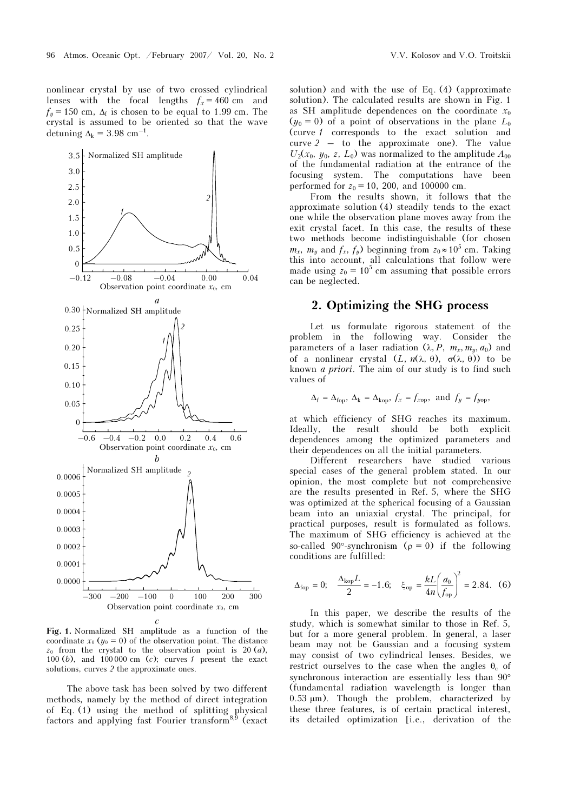nonlinear crystal by use of two crossed cylindrical lenses with the focal lengths  $f_x = 460$  cm and  $f_y = 150$  cm,  $\Delta_f$  is chosen to be equal to 1.99 cm. The crystal is assumed to be oriented so that the wave detuning  $\Delta_k = 3.98$  cm<sup>-1</sup>.



Fig. 1. Normalized SH amplitude as a function of the coordinate  $x_0$  ( $y_0 = 0$ ) of the observation point. The distance  $z_0$  from the crystal to the observation point is 20 (*a*), 100 (b), and 100 000 cm (c); curves  $\ell$  present the exact solutions, curves 2 the approximate ones.

The above task has been solved by two different methods, namely by the method of direct integration of Eq. (1) using the method of splitting physical factors and applying fast Fourier transform $8,9$  (exact

solution) and with the use of Eq. (4) (approximate solution). The calculated results are shown in Fig. 1 as SH amplitude dependences on the coordinate  $x_0$  $(y_0 = 0)$  of a point of observations in the plane  $L_0$ (curve 1 corresponds to the exact solution and curve 2 – to the approximate one). The value  $U_2(x_0, y_0, z, L_0)$  was normalized to the amplitude  $A_{00}$ of the fundamental radiation at the entrance of the focusing system. The computations have been performed for  $z_0 = 10$ , 200, and 100000 cm.

From the results shown, it follows that the approximate solution (4) steadily tends to the exact one while the observation plane moves away from the exit crystal facet. In this case, the results of these two methods become indistinguishable (for chosen  $m_x$ ,  $m_y$  and  $f_x$ ,  $f_y$ ) beginning from  $z_0 \approx 10^5$  cm. Taking this into account, all calculations that follow were made using  $z_0 = 10^5$  cm assuming that possible errors can be neglected.

## 2. Optimizing the SHG process

Let us formulate rigorous statement of the problem in the following way. Consider the parameters of a laser radiation  $(\lambda, P, m_x, m_y, a_0)$  and of a nonlinear crystal  $(L, n(\lambda, \theta), \sigma(\lambda, \theta))$  to be known a priori. The aim of our study is to find such values of

$$
\Delta_f = \Delta_{\text{fop}}, \ \Delta_k = \Delta_{\text{kop}}, \ f_x = f_{\text{xop}}, \ \text{and} \ f_y = f_{\text{yop}},
$$

at which efficiency of SHG reaches its maximum. Ideally, the result should be both explicit dependences among the optimized parameters and their dependences on all the initial parameters.

Different researchers have studied various special cases of the general problem stated. In our opinion, the most complete but not comprehensive are the results presented in Ref. 5, where the SHG was optimized at the spherical focusing of a Gaussian beam into an uniaxial crystal. The principal, for practical purposes, result is formulated as follows. The maximum of SHG efficiency is achieved at the so-called 90°-synchronism ( $\rho = 0$ ) if the following conditions are fulfilled:

$$
\Delta_{\text{top}} = 0;
$$
\n $\frac{\Delta_{\text{kop}}L}{2} = -1.6;$ \n $\xi_{\text{op}} = \frac{kL}{4n} \left( \frac{a_0}{f_{\text{op}}} \right)^2 = 2.84.$ \n(6)

In this paper, we describe the results of the study, which is somewhat similar to those in Ref. 5, but for a more general problem. In general, a laser beam may not be Gaussian and a focusing system may consist of two cylindrical lenses. Besides, we restrict ourselves to the case when the angles  $\theta_c$  of synchronous interaction are essentially less than 90° (fundamental radiation wavelength is longer than 0.53 μm). Though the problem, characterized by these three features, is of certain practical interest, its detailed optimization [i.e., derivation of the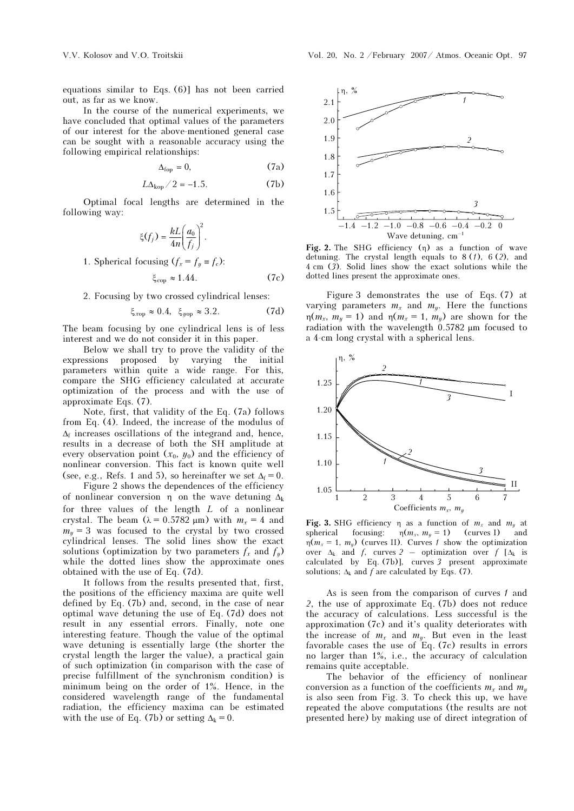equations similar to Eqs. (6)] has not been carried out, as far as we know.

In the course of the numerical experiments, we have concluded that optimal values of the parameters of our interest for the above-mentioned general case can be sought with a reasonable accuracy using the following empirical relationships:

$$
\Delta_{\text{fop}} = 0,\tag{7a}
$$

$$
L\Delta_{\text{kop}}/2 = -1.5. \tag{7b}
$$

Optimal focal lengths are determined in the following way:

$$
\xi(f_j) = \frac{kL}{4n} \left(\frac{a_0}{f_j}\right)^2.
$$

1. Spherical focusing  $(f_x = f_y \equiv f_c)$ :

$$
\xi_{\rm cop} \approx 1.44. \tag{7c}
$$

2. Focusing by two crossed cylindrical lenses:

$$
\xi_{xop} \approx 0.4, \ \xi_{yop} \approx 3.2. \tag{7d}
$$

The beam focusing by one cylindrical lens is of less interest and we do not consider it in this paper.

Below we shall try to prove the validity of the expressions proposed by varying the initial parameters within quite a wide range. For this, compare the SHG efficiency calculated at accurate optimization of the process and with the use of approximate Eqs. (7).

Note, first, that validity of the Eq. (7a) follows from Eq. (4). Indeed, the increase of the modulus of  $\Delta_f$  increases oscillations of the integrand and, hence, results in a decrease of both the SH amplitude at every observation point  $(x_0, y_0)$  and the efficiency of nonlinear conversion. This fact is known quite well (see, e.g., Refs. 1 and 5), so hereinafter we set  $\Delta_f = 0$ .

 Figure 2 shows the dependences of the efficiency of nonlinear conversion  $\eta$  on the wave detuning  $\Delta_k$ for three values of the length L of a nonlinear crystal. The beam ( $\lambda = 0.5782 \text{ }\mu\text{m}$ ) with  $m_x = 4$  and  $m_y = 3$  was focused to the crystal by two crossed cylindrical lenses. The solid lines show the exact solutions (optimization by two parameters  $f_x$  and  $f_y$ ) while the dotted lines show the approximate ones obtained with the use of Eq. (7d).

It follows from the results presented that, first, the positions of the efficiency maxima are quite well defined by Eq. (7b) and, second, in the case of near optimal wave detuning the use of Eq. (7d) does not result in any essential errors. Finally, note one interesting feature. Though the value of the optimal wave detuning is essentially large (the shorter the crystal length the larger the value), a practical gain of such optimization (in comparison with the case of precise fulfillment of the synchronism condition) is minimum being on the order of 1%. Hence, in the considered wavelength range of the fundamental radiation, the efficiency maxima can be estimated with the use of Eq. (7b) or setting  $\Delta_k = 0$ .



Fig. 2. The SHG efficiency  $(\eta)$  as a function of wave detuning. The crystal length equals to  $8(1)$ ,  $6(2)$ , and 4 cm (3). Solid lines show the exact solutions while the dotted lines present the approximate ones.

Figure 3 demonstrates the use of Eqs. (7) at varying parameters  $m_x$  and  $m_y$ . Here the functions η( $m_x$ ,  $m_y$  = 1) and η( $m_x$  = 1,  $m_y$ ) are shown for the radiation with the wavelength 0.5782 μm focused to a 4-cm long crystal with a spherical lens.



Fig. 3. SHG efficiency  $\eta$  as a function of  $m_x$  and  $m_y$  at spherical focusing:  $\eta(m_x, m_y = 1)$  (curves I) and  $\eta(m_x, m_y = 1)$  (curves I)  $n(m_x = 1, m_y)$  (curves II). Curves 1 show the optimization over  $\Delta_k$  and f, curves 2 – optimization over f [ $\Delta_k$  is calculated by Eq. (7b)], curves 3 present approximate solutions;  $\Delta_k$  and f are calculated by Eqs. (7).

As is seen from the comparison of curves  $\ell$  and 2, the use of approximate Eq. (7b) does not reduce the accuracy of calculations. Less successful is the approximation (7c) and it's quality deteriorates with the increase of  $m_x$  and  $m_y$ . But even in the least favorable cases the use of Eq. (7c) results in errors no larger than 1%, i.e., the accuracy of calculation remains quite acceptable.

The behavior of the efficiency of nonlinear conversion as a function of the coefficients  $m_x$  and  $m_y$ is also seen from Fig. 3. To check this up, we have repeated the above computations (the results are not presented here) by making use of direct integration of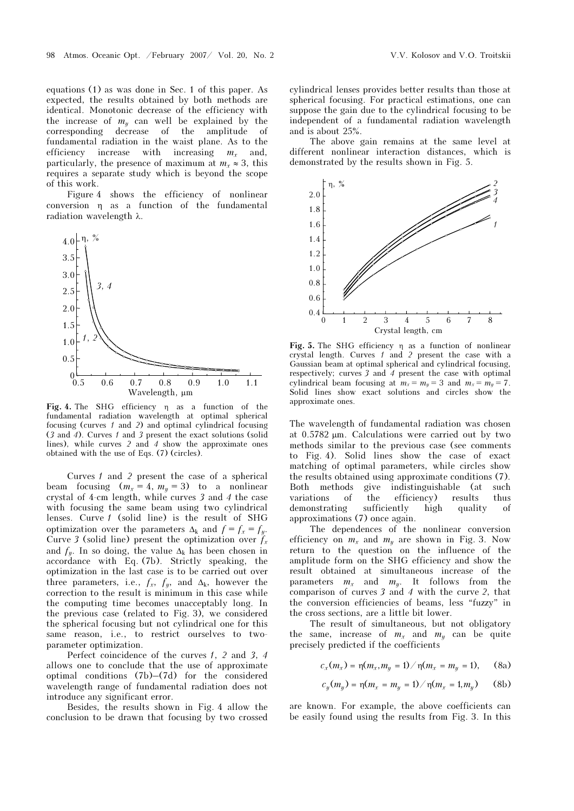equations (1) as was done in Sec. 1 of this paper. As expected, the results obtained by both methods are identical. Monotonic decrease of the efficiency with the increase of  $m_y$  can well be explained by the corresponding decrease of the amplitude of fundamental radiation in the waist plane. As to the efficiency increase with increasing  $m_x$  and, particularly, the presence of maximum at  $m_r \approx 3$ , this requires a separate study which is beyond the scope of this work.

Figure 4 shows the efficiency of nonlinear conversion η as a function of the fundamental radiation wavelength λ.



Fig. 4. The SHG efficiency η as a function of the fundamental radiation wavelength at optimal spherical focusing (curves  $1$  and  $2$ ) and optimal cylindrical focusing (3 and 4). Curves 1 and 3 present the exact solutions (solid lines), while curves 2 and 4 show the approximate ones obtained with the use of Eqs. (7) (circles).

Curves 1 and 2 present the case of a spherical beam focusing  $(m_x = 4, m_y = 3)$  to a nonlinear crystal of 4-cm length, while curves 3 and 4 the case with focusing the same beam using two cylindrical lenses. Curve 1 (solid line) is the result of SHG optimization over the parameters  $\Delta_k$  and  $f = f_x = f_y$ . Curve 3 (solid line) present the optimization over  $f_x$ and  $f_y$ . In so doing, the value  $\Delta_k$  has been chosen in accordance with Eq. (7b). Strictly speaking, the optimization in the last case is to be carried out over three parameters, i.e.,  $f_x$ ,  $f_y$ , and  $\Delta_k$ , however the correction to the result is minimum in this case while the computing time becomes unacceptably long. In the previous case (related to Fig. 3), we considered the spherical focusing but not cylindrical one for this same reason, i.e., to restrict ourselves to twoparameter optimization.

Perfect coincidence of the curves 1, 2 and 3, 4 allows one to conclude that the use of approximate optimal conditions (7b)–(7d) for the considered wavelength range of fundamental radiation does not introduce any significant error.

Besides, the results shown in Fig. 4 allow the conclusion to be drawn that focusing by two crossed cylindrical lenses provides better results than those at spherical focusing. For practical estimations, one can suppose the gain due to the cylindrical focusing to be independent of a fundamental radiation wavelength and is about 25%.

The above gain remains at the same level at different nonlinear interaction distances, which is demonstrated by the results shown in Fig. 5.



Fig. 5. The SHG efficiency η as a function of nonlinear crystal length. Curves  $\ell$  and 2 present the case with a Gaussian beam at optimal spherical and cylindrical focusing, respectively; curves  $3$  and  $4$  present the case with optimal cylindrical beam focusing at  $m_x = m_y = 3$  and  $m_x = m_y = 7$ . Solid lines show exact solutions and circles show the approximate ones.

The wavelength of fundamental radiation was chosen at 0.5782 μm. Calculations were carried out by two methods similar to the previous case (see comments to Fig. 4). Solid lines show the case of exact matching of optimal parameters, while circles show the results obtained using approximate conditions (7). Both methods give indistinguishable (at such variations of the efficiency) results thus demonstrating sufficiently high quality of approximations (7) once again.

The dependences of the nonlinear conversion efficiency on  $m_x$  and  $m_y$  are shown in Fig. 3. Now return to the question on the influence of the amplitude form on the SHG efficiency and show the result obtained at simultaneous increase of the parameters  $m_x$  and  $m_y$ . It follows from the comparison of curves 3 and 4 with the curve 2, that the conversion efficiencies of beams, less "fuzzy" in the cross sections, are a little bit lower.

The result of simultaneous, but not obligatory the same, increase of  $m_x$  and  $m_y$  can be quite precisely predicted if the coefficients

$$
c_x(m_x) = \eta(m_x, m_y = 1) / \eta(m_x = m_y = 1), \quad \text{(8a)}
$$

$$
c_y(m_y) = \eta(m_x = m_y = 1) / \eta(m_x = 1, m_y)
$$
 (8b)

are known. For example, the above coefficients can be easily found using the results from Fig. 3. In this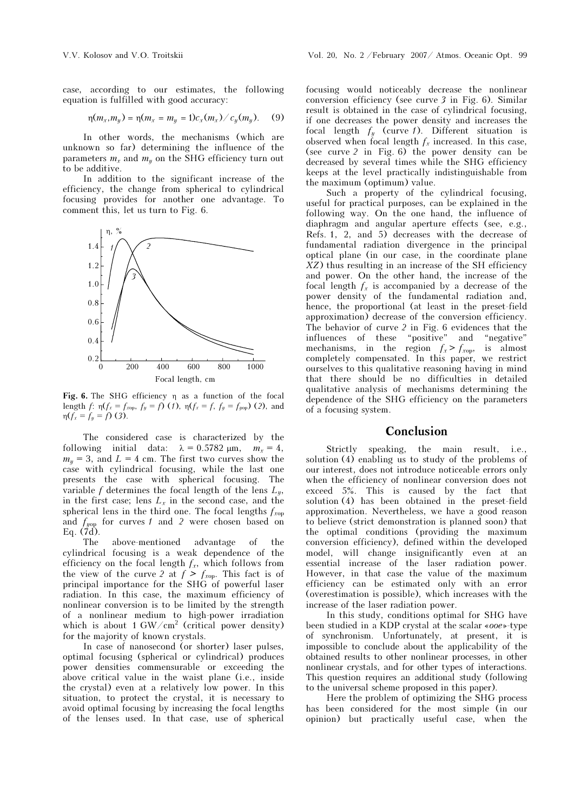case, according to our estimates, the following equation is fulfilled with good accuracy:

$$
\eta(m_x, m_y) = \eta(m_x = m_y = 1)c_x(m_x) / c_y(m_y). \quad (9)
$$

In other words, the mechanisms (which are unknown so far) determining the influence of the parameters  $m_x$  and  $m_y$  on the SHG efficiency turn out to be additive.

In addition to the significant increase of the efficiency, the change from spherical to cylindrical focusing provides for another one advantage. To comment this, let us turn to Fig. 6.



Fig. 6. The SHG efficiency η as a function of the focal length  $f: \eta(f_x = f_{xop}, f_y = f)$  (*1*),  $\eta(f_x = f, f_y = f_{yop})$  (2), and  $\eta(f_x = f_y = f)(3)$ .

The considered case is characterized by the following initial data:  $\lambda = 0.5782 \text{ }\mu\text{m}, \quad m_x = 4,$  $m_{\nu}$  = 3, and L = 4 cm. The first two curves show the case with cylindrical focusing, while the last one presents the case with spherical focusing. The variable f determines the focal length of the lens  $L<sub>w</sub>$ , in the first case; lens  $L_x$  in the second case, and the spherical lens in the third one. The focal lengths  $f_{\text{non}}$ and  $f_{yop}$  for curves 1 and 2 were chosen based on Eq.  $(7d)$ .

The above-mentioned advantage of the cylindrical focusing is a weak dependence of the efficiency on the focal length  $f_x$ , which follows from the view of the curve 2 at  $f > f_{\text{rop}}$ . This fact is of principal importance for the SHG of powerful laser radiation. In this case, the maximum efficiency of nonlinear conversion is to be limited by the strength of a nonlinear medium to high-power irradiation which is about 1  $\text{GW}/\text{cm}^2$  (critical power density) for the majority of known crystals.

In case of nanosecond (or shorter) laser pulses. optimal focusing (spherical or cylindrical) produces power densities commensurable or exceeding the above critical value in the waist plane (i.e., inside the crystal) even at a relatively low power. In this situation, to protect the crystal, it is necessary to avoid optimal focusing by increasing the focal lengths of the lenses used. In that case, use of spherical

focusing would noticeably decrease the nonlinear conversion efficiency (see curve 3 in Fig. 6). Similar result is obtained in the case of cylindrical focusing, if one decreases the power density and increases the focal length  $f_y$  (curve 1). Different situation is observed when focal length  $f_x$  increased. In this case, (see curve 2 in Fig. 6) the power density can be decreased by several times while the SHG efficiency keeps at the level practically indistinguishable from the maximum (optimum) value.

Such a property of the cylindrical focusing, useful for practical purposes, can be explained in the following way. On the one hand, the influence of diaphragm and angular aperture effects (see, e.g., Refs. 1, 2, and 5) decreases with the decrease of fundamental radiation divergence in the principal optical plane (in our case, in the coordinate plane XZ) thus resulting in an increase of the SH efficiency and power. On the other hand, the increase of the focal length  $f_x$  is accompanied by a decrease of the power density of the fundamental radiation and, hence, the proportional (at least in the preset-field approximation) decrease of the conversion efficiency. The behavior of curve 2 in Fig. 6 evidences that the influences of these "positive" and "negative" mechanisms, in the region  $f_x > f_{\text{rop}}$ , is almost completely compensated. In this paper, we restrict ourselves to this qualitative reasoning having in mind that there should be no difficulties in detailed qualitative analysis of mechanisms determining the dependence of the SHG efficiency on the parameters of a focusing system.

### Conclusion

Strictly speaking, the main result, i.e., solution (4) enabling us to study of the problems of our interest, does not introduce noticeable errors only when the efficiency of nonlinear conversion does not exceed 5%. This is caused by the fact that solution (4) has been obtained in the preset-field approximation. Nevertheless, we have a good reason to believe (strict demonstration is planned soon) that the optimal conditions (providing the maximum conversion efficiency), defined within the developed model, will change insignificantly even at an essential increase of the laser radiation power. However, in that case the value of the maximum efficiency can be estimated only with an error (overestimation is possible), which increases with the increase of the laser radiation power.

In this study, conditions optimal for SHG have been studied in a KDP crystal at the scalar «ooe»-type of synchronism. Unfortunately, at present, it is impossible to conclude about the applicability of the obtained results to other nonlinear processes, in other nonlinear crystals, and for other types of interactions. This question requires an additional study (following to the universal scheme proposed in this paper).

Here the problem of optimizing the SHG process has been considered for the most simple (in our opinion) but practically useful case, when the